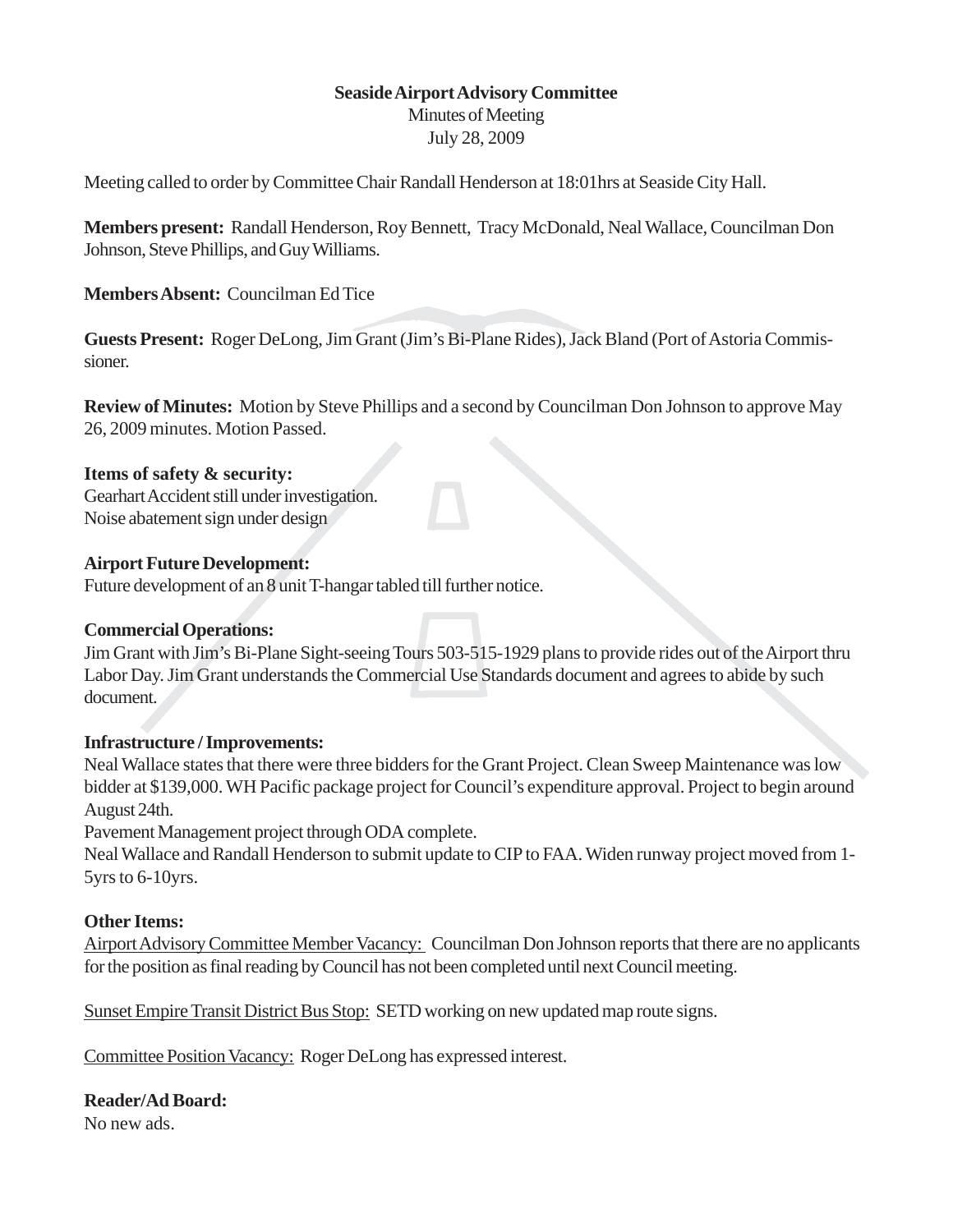# **Seaside Airport Advisory Committee**

Minutes of Meeting July 28, 2009

Meeting called to order by Committee Chair Randall Henderson at 18:01hrs at Seaside City Hall.

**Members present:** Randall Henderson, Roy Bennett, Tracy McDonald, Neal Wallace, Councilman Don Johnson, Steve Phillips, and Guy Williams.

**Members Absent:** Councilman Ed Tice

**Guests Present:** Roger DeLong, Jim Grant (Jim's Bi-Plane Rides), Jack Bland (Port of Astoria Commissioner.

**Review of Minutes:** Motion by Steve Phillips and a second by Councilman Don Johnson to approve May 26, 2009 minutes. Motion Passed.

### **Items of safety & security:**

Gearhart Accident still under investigation. Noise abatement sign under design

# **Airport Future Development:**

Future development of an 8 unit T-hangar tabled till further notice.

### **Commercial Operations:**

Jim Grant with Jim's Bi-Plane Sight-seeing Tours 503-515-1929 plans to provide rides out of the Airport thru Labor Day. Jim Grant understands the Commercial Use Standards document and agrees to abide by such document.

### **Infrastructure / Improvements:**

Neal Wallace states that there were three bidders for the Grant Project. Clean Sweep Maintenance was low bidder at \$139,000. WH Pacific package project for Council's expenditure approval. Project to begin around August 24th.

Pavement Management project through ODA complete.

Neal Wallace and Randall Henderson to submit update to CIP to FAA. Widen runway project moved from 1- 5yrs to 6-10yrs.

### **Other Items:**

Airport Advisory Committee Member Vacancy: Councilman Don Johnson reports that there are no applicants for the position as final reading by Council has not been completed until next Council meeting.

Sunset Empire Transit District Bus Stop: SETD working on new updated map route signs.

Committee Position Vacancy: Roger DeLong has expressed interest.

**Reader/Ad Board:**

No new ads.